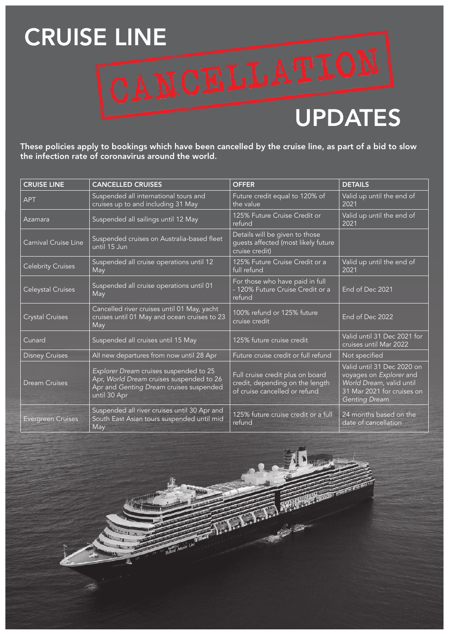## CRUISE LINE<br>CANCELLATION

## UPDATES

These policies apply to bookings which have been cancelled by the cruise line, as part of a bid to slow the infection rate of coronavirus around the world.

| <b>CRUISE LINE</b>       | <b>CANCELLED CRUISES</b>                                                                                                                      | <b>OFFER</b>                                                                                         | <b>DETAILS</b>                                                                                                                          |
|--------------------------|-----------------------------------------------------------------------------------------------------------------------------------------------|------------------------------------------------------------------------------------------------------|-----------------------------------------------------------------------------------------------------------------------------------------|
| <b>APT</b>               | Suspended all international tours and<br>cruises up to and including 31 May                                                                   | Future credit equal to 120% of<br>the value                                                          | Valid up until the end of<br>2021                                                                                                       |
| Azamara                  | Suspended all sailings until 12 May                                                                                                           | 125% Future Cruise Credit or<br>refund                                                               | Valid up until the end of<br>2021                                                                                                       |
| Carnival Cruise Line     | Suspended cruises on Australia-based fleet<br>until 15 J <u>un</u>                                                                            | Details will be given to those<br>guests affected (most likely future<br>cruise credit)              |                                                                                                                                         |
| <b>Celebrity Cruises</b> | Suspended all cruise operations until 12<br>May                                                                                               | 125% Future Cruise Credit or a<br>full refund                                                        | Valid up until the end of<br>2021                                                                                                       |
| Celeystal Cruises        | Suspended all cruise operations until 01<br>May                                                                                               | For those who have paid in full<br>- 120% Future Cruise Credit or a<br>refund                        | End of Dec 2021                                                                                                                         |
| <b>Crystal Cruises</b>   | Cancelled river cruises until 01 May, yacht<br>cruises until 01 May and ocean cruises to 23<br>May                                            | 100% refund or 125% future<br>cruise credit                                                          | End of Dec 2022                                                                                                                         |
| Cunard                   | Suspended all cruises until 15 May                                                                                                            | 125% future cruise credit                                                                            | Valid until 31 Dec 2021 for<br>cruises until Mar 2022                                                                                   |
| <b>Disney Cruises</b>    | All new departures from now until 28 Apr                                                                                                      | Future cruise credit or full refund                                                                  | Not specified                                                                                                                           |
| <b>Dream Cruises</b>     | Explorer Dream cruises suspended to 25<br>Apr, World Dream cruises suspended to 26<br>Apr and Genting Dream cruises suspended<br>until 30 Apr | Full cruise credit plus on board<br>credit, depending on the length<br>of cruise cancelled or refund | Valid until 31 Dec 2020 on<br>voyages on Explorer and<br>World Dream, valid until<br>31 Mar 2021 for cruises on<br><b>Genting Dream</b> |
| <b>Evergreen Cruises</b> | Suspended all river cruises until 30 Apr and<br>South East Asian tours suspended until mid<br>May                                             | 125% future cruise credit or a full<br>refund                                                        | 24 months based on the<br>date of cancellation                                                                                          |

 $\overline{\bullet}$